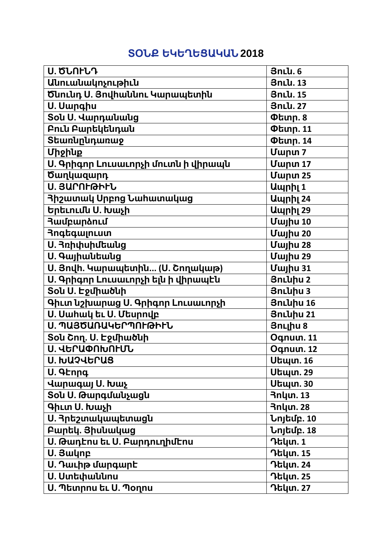## **ՏՕՆՔ ԵԿԵՂԵՑԱԿԱՆ 2018**

| <b>U. ԾՆՈԻՆԴ</b>                    | <b>3nlu.6</b>    |
|-------------------------------------|------------------|
| Անուանակոչութիւն                    | 3nLu. 13         |
| Ծնունդ Ս. Յովիաննու Կարապետին       | 3nLu. 15         |
| U. Uwnahu                           | 3nLu. 27         |
| Sou U. Վարդանանց                    | <b>Փետր. 8</b>   |
| Բուն Բարեկենդան                     | <b>Փետր. 11</b>  |
| Տեառնընդառաջ                        | <b>Փետր. 14</b>  |
| Միջինք                              | <b>Uwpun 7</b>   |
| Ս. Գրիգոր Լուսաւորչի մուտն ի վիրապն | Uwnun 17         |
| <b>Ծաղկազարդ</b>                    | <b>Uwnun 25</b>  |
| Ս. ՅԱՐՈԻԹԻԻՆ                        | Ապրիլ 1          |
| <b>3իշատակ Սրբոց Նահատակաց</b>      | <b>Umph</b> 24   |
| Երեւումս Ս. Խաչի                    | Ապրիլ 29         |
| <b><i><u>Ruureunanuu</u></i></b>    | <b>Uwjhu 10</b>  |
| <b>RngtqwinLum</b>                  | <b>Uwjhu 20</b>  |
| Ս. Յռիփսիմեանց                      | <b>Uwjhu 28</b>  |
| <b>U. Գայիանեանց</b>                | Uwjhu 29         |
| Ս. Յովի. Կարապետին (Ս. Շողակաթ)     | Uwjhu 31         |
| Ս. Գրիգոր Լուսաւորչի ելն ի վիրապէն  | <b>3nluhu 2</b>  |
| Sou U. Էջմիածնի                     | 3nLuhu 3         |
| Գիւտ նշխարաց Ս. Գրիգոր Լուսաւորչի   | 3nLuhu 16        |
| Ս. Սահակ եւ Ս. Մեսրովբ              | 3nLuhu 21        |
| Ս. ՊԱՅԾԱՌԱԿԵՐՊՈԻԹԻԻՆ                | <b>3n</b> Lihu 8 |
| <b>Sou Շող. Ս. Էջմիածնի</b>         | Oqnuun. 11       |
| Ս. ՎԵՐԱՓՈԽՈԻՄՆ                      | Oqnuun. 12       |
| Ս. ԽԱՉՎԵՐԱՑ                         | <b>Սեպտ. 16</b>  |
| U. 9Ennq                            | Սեպտ. 29         |
| Վարագայ Ս. Խաչ                      | Սեպտ. 30         |
| Տօն Ս. Թարգմանչացն                  | <b>3nlun. 13</b> |
| <b>9hun U. luwsh</b>                | <b>3nlun. 28</b> |
| Ս. Յրեշտակապետացն                   | Նոյեմբ. 10       |
| Բարեկ. Յիսևակաց                     | Նոյեմբ. 18       |
| Ս. Թադէոս եւ Ս. Բարդուղիմէոս        | Դեկտ. 1          |
| U. Swynp                            | Դեկտ. 15         |
| Ս. Դաւիթ մարգարէ                    | Դեկտ. 24         |
| <b>U. Ստեփաննոս</b>                 | Դեկտ. 25         |
| Ս. Պետրոս եւ Ս. Պօղոս               | Դեկտ. 27         |